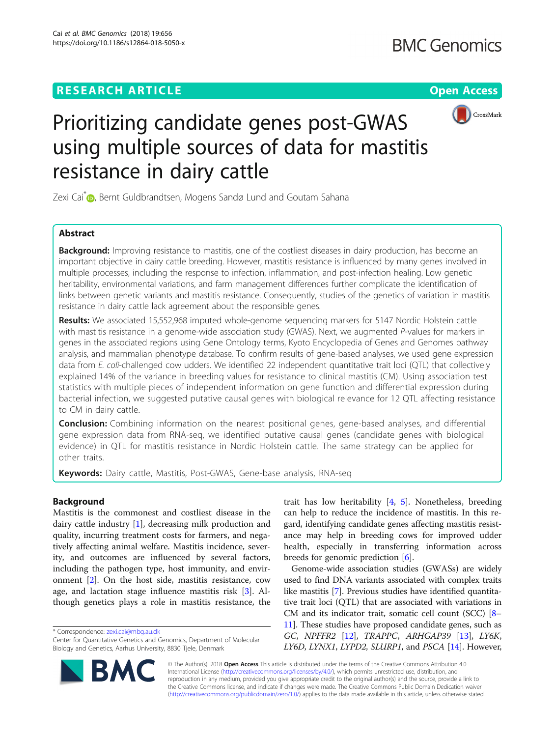# **RESEARCH ARTICLE Example 2018 12:30 The Contract of Contract Contract Open Access**



# Prioritizing candidate genes post-GWAS using multiple sources of data for mastitis resistance in dairy cattle

Zexi Cai<sup>\*</sup> <sub>(D</sub>[,](http://orcid.org/0000-0002-9579-3415) Bernt Guldbrandtsen, Mogens Sandø Lund and Goutam Sahana

# Abstract

**Background:** Improving resistance to mastitis, one of the costliest diseases in dairy production, has become an important objective in dairy cattle breeding. However, mastitis resistance is influenced by many genes involved in multiple processes, including the response to infection, inflammation, and post-infection healing. Low genetic heritability, environmental variations, and farm management differences further complicate the identification of links between genetic variants and mastitis resistance. Consequently, studies of the genetics of variation in mastitis resistance in dairy cattle lack agreement about the responsible genes.

Results: We associated 15,552,968 imputed whole-genome sequencing markers for 5147 Nordic Holstein cattle with mastitis resistance in a genome-wide association study (GWAS). Next, we augmented P-values for markers in genes in the associated regions using Gene Ontology terms, Kyoto Encyclopedia of Genes and Genomes pathway analysis, and mammalian phenotype database. To confirm results of gene-based analyses, we used gene expression data from E. coli-challenged cow udders. We identified 22 independent quantitative trait loci (QTL) that collectively explained 14% of the variance in breeding values for resistance to clinical mastitis (CM). Using association test statistics with multiple pieces of independent information on gene function and differential expression during bacterial infection, we suggested putative causal genes with biological relevance for 12 QTL affecting resistance to CM in dairy cattle.

**Conclusion:** Combining information on the nearest positional genes, gene-based analyses, and differential gene expression data from RNA-seq, we identified putative causal genes (candidate genes with biological evidence) in QTL for mastitis resistance in Nordic Holstein cattle. The same strategy can be applied for other traits.

Keywords: Dairy cattle, Mastitis, Post-GWAS, Gene-base analysis, RNA-seq

# **Background**

Mastitis is the commonest and costliest disease in the dairy cattle industry [[1\]](#page-9-0), decreasing milk production and quality, incurring treatment costs for farmers, and negatively affecting animal welfare. Mastitis incidence, severity, and outcomes are influenced by several factors, including the pathogen type, host immunity, and environment [\[2](#page-9-0)]. On the host side, mastitis resistance, cow age, and lactation stage influence mastitis risk [[3](#page-9-0)]. Although genetics plays a role in mastitis resistance, the

\* Correspondence: [zexi.cai@mbg.au.dk](mailto:zexi.cai@mbg.au.dk)

BA



Genome-wide association studies (GWASs) are widely used to find DNA variants associated with complex traits like mastitis [\[7\]](#page-9-0). Previous studies have identified quantitative trait loci (QTL) that are associated with variations in CM and its indicator trait, somatic cell count (SCC) [[8](#page-9-0)– [11](#page-9-0)]. These studies have proposed candidate genes, such as GC, NPFFR2 [[12\]](#page-9-0), TRAPPC, ARHGAP39 [\[13\]](#page-9-0), LY6K, LY6D, LYNX1, LYPD2, SLURP1, and PSCA [\[14](#page-9-0)]. However,

© The Author(s). 2018 Open Access This article is distributed under the terms of the Creative Commons Attribution 4.0 International License [\(http://creativecommons.org/licenses/by/4.0/](http://creativecommons.org/licenses/by/4.0/)), which permits unrestricted use, distribution, and reproduction in any medium, provided you give appropriate credit to the original author(s) and the source, provide a link to the Creative Commons license, and indicate if changes were made. The Creative Commons Public Domain Dedication waiver [\(http://creativecommons.org/publicdomain/zero/1.0/](http://creativecommons.org/publicdomain/zero/1.0/)) applies to the data made available in this article, unless otherwise stated.

Center for Quantitative Genetics and Genomics, Department of Molecular Biology and Genetics, Aarhus University, 8830 Tjele, Denmark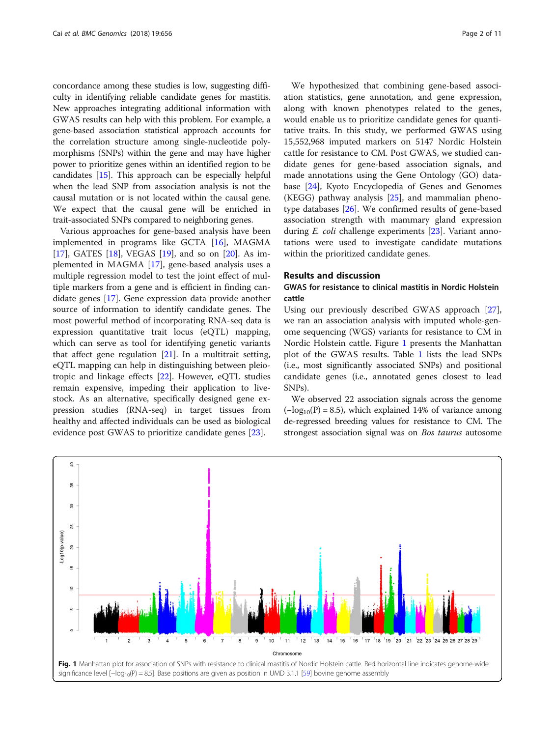concordance among these studies is low, suggesting difficulty in identifying reliable candidate genes for mastitis. New approaches integrating additional information with GWAS results can help with this problem. For example, a gene-based association statistical approach accounts for the correlation structure among single-nucleotide polymorphisms (SNPs) within the gene and may have higher power to prioritize genes within an identified region to be candidates [\[15\]](#page-9-0). This approach can be especially helpful when the lead SNP from association analysis is not the causal mutation or is not located within the causal gene. We expect that the causal gene will be enriched in trait-associated SNPs compared to neighboring genes.

Various approaches for gene-based analysis have been implemented in programs like GCTA [[16\]](#page-9-0), MAGMA [[17\]](#page-9-0), GATES [[18\]](#page-9-0), VEGAS [[19\]](#page-10-0), and so on [\[20](#page-10-0)]. As implemented in MAGMA [[17\]](#page-9-0), gene-based analysis uses a multiple regression model to test the joint effect of multiple markers from a gene and is efficient in finding candidate genes [\[17](#page-9-0)]. Gene expression data provide another source of information to identify candidate genes. The most powerful method of incorporating RNA-seq data is expression quantitative trait locus (eQTL) mapping, which can serve as tool for identifying genetic variants that affect gene regulation  $[21]$ . In a multitrait setting, eQTL mapping can help in distinguishing between pleiotropic and linkage effects [[22](#page-10-0)]. However, eQTL studies remain expensive, impeding their application to livestock. As an alternative, specifically designed gene expression studies (RNA-seq) in target tissues from healthy and affected individuals can be used as biological evidence post GWAS to prioritize candidate genes [[23\]](#page-10-0).

We hypothesized that combining gene-based association statistics, gene annotation, and gene expression, along with known phenotypes related to the genes, would enable us to prioritize candidate genes for quantitative traits. In this study, we performed GWAS using 15,552,968 imputed markers on 5147 Nordic Holstein cattle for resistance to CM. Post GWAS, we studied candidate genes for gene-based association signals, and made annotations using the Gene Ontology (GO) database [\[24](#page-10-0)], Kyoto Encyclopedia of Genes and Genomes (KEGG) pathway analysis [\[25](#page-10-0)], and mammalian phenotype databases [\[26](#page-10-0)]. We confirmed results of gene-based association strength with mammary gland expression during *E. coli* challenge experiments [[23](#page-10-0)]. Variant annotations were used to investigate candidate mutations within the prioritized candidate genes.

# Results and discussion

# GWAS for resistance to clinical mastitis in Nordic Holstein cattle

Using our previously described GWAS approach [\[27](#page-10-0)], we ran an association analysis with imputed whole-genome sequencing (WGS) variants for resistance to CM in Nordic Holstein cattle. Figure 1 presents the Manhattan plot of the GWAS results. Table [1](#page-2-0) lists the lead SNPs (i.e., most significantly associated SNPs) and positional candidate genes (i.e., annotated genes closest to lead SNPs).

We observed 22 association signals across the genome  $(-\log_{10}(P) = 8.5)$ , which explained 14% of variance among de-regressed breeding values for resistance to CM. The strongest association signal was on Bos taurus autosome

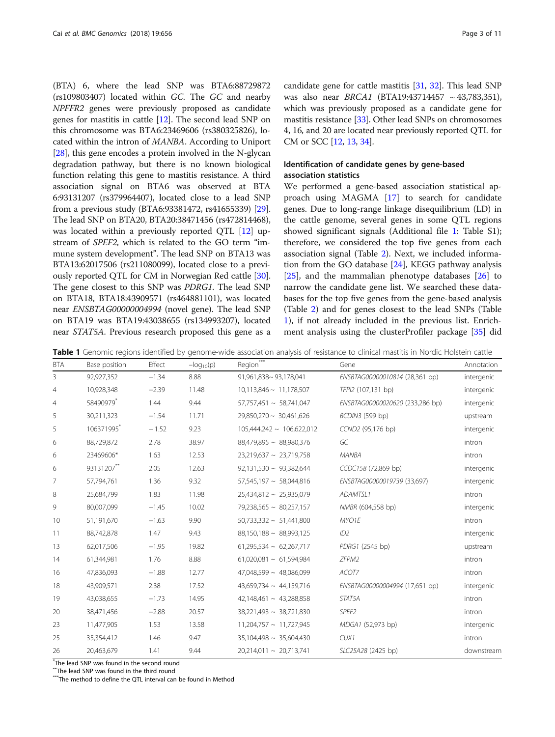<span id="page-2-0"></span>(BTA) 6, where the lead SNP was BTA6:88729872 (rs109803407) located within GC. The GC and nearby NPFFR2 genes were previously proposed as candidate genes for mastitis in cattle [[12](#page-9-0)]. The second lead SNP on this chromosome was BTA6:23469606 (rs380325826), located within the intron of MANBA. According to Uniport [[28](#page-10-0)], this gene encodes a protein involved in the N-glycan degradation pathway, but there is no known biological function relating this gene to mastitis resistance. A third association signal on BTA6 was observed at BTA 6:93131207 (rs379964407), located close to a lead SNP from a previous study (BTA6:93381472, rs41655339) [[29](#page-10-0)]. The lead SNP on BTA20, BTA20:38471456 (rs472814468), was located within a previously reported QTL [\[12\]](#page-9-0) upstream of SPEF2, which is related to the GO term "immune system development". The lead SNP on BTA13 was BTA13:62017506 (rs211080099), located close to a previously reported QTL for CM in Norwegian Red cattle [[30](#page-10-0)]. The gene closest to this SNP was PDRG1. The lead SNP on BTA18, BTA18:43909571 (rs464881101), was located near ENSBTAG00000004994 (novel gene). The lead SNP on BTA19 was BTA19:43038655 (rs134993207), located near STAT5A. Previous research proposed this gene as a candidate gene for cattle mastitis [\[31,](#page-10-0) [32](#page-10-0)]. This lead SNP was also near *BRCA1* (BTA19:43714457 ~ 43,783,351), which was previously proposed as a candidate gene for mastitis resistance [\[33\]](#page-10-0). Other lead SNPs on chromosomes 4, 16, and 20 are located near previously reported QTL for CM or SCC [\[12,](#page-9-0) [13,](#page-9-0) [34](#page-10-0)].

# Identification of candidate genes by gene-based association statistics

We performed a gene-based association statistical approach using MAGMA [[17\]](#page-9-0) to search for candidate genes. Due to long-range linkage disequilibrium (LD) in the cattle genome, several genes in some QTL regions showed significant signals (Additional file [1](#page-9-0): Table S1); therefore, we considered the top five genes from each association signal (Table [2](#page-3-0)). Next, we included information from the GO database  $[24]$  $[24]$ , KEGG pathway analysis  $[25]$  $[25]$ , and the mammalian phenotype databases  $[26]$  $[26]$  $[26]$  to narrow the candidate gene list. We searched these databases for the top five genes from the gene-based analysis (Table [2\)](#page-3-0) and for genes closest to the lead SNPs (Table 1), if not already included in the previous list. Enrichment analysis using the clusterProfiler package [[35\]](#page-10-0) did

Table 1 Genomic regions identified by genome-wide association analysis of resistance to clinical mastitis in Nordic Holstein cattle

| <b>BTA</b>     | Base position | Effect  | $-log_{10}(p)$ | $***$<br>Region <sup>®</sup>   | Gene                            | Annotation |
|----------------|---------------|---------|----------------|--------------------------------|---------------------------------|------------|
| 3              | 92,927,352    | $-1.34$ | 8.88           | 91,961,838~93,178,041          | ENSBTAG00000010814 (28,361 bp)  | intergenic |
| $\overline{4}$ | 10,928,348    | $-2.39$ | 11.48          | $10,113,846 \sim 11,178,507$   | TFPI2 (107,131 bp)              | intergenic |
| 4              | 58490979      | 1.44    | 9.44           | $57,757,451 \sim 58,741,047$   | ENSBTAG00000020620 (233,286 bp) | intergenic |
| 5              | 30,211,323    | $-1.54$ | 11.71          | 29,850,270 ~ 30,461,626        | BCDIN3 (599 bp)                 | upstream   |
| 5              | 106371995     | $-1.52$ | 9.23           | $105,444,242 \sim 106,622,012$ | CCND2 (95,176 bp)               | intergenic |
| 6              | 88,729,872    | 2.78    | 38.97          | 88,479,895 ~ 88,980,376        | GC                              | intron     |
| 6              | 23469606*     | 1.63    | 12.53          | $23,219,637 \sim 23,719,758$   | MANBA                           | intron     |
| 6              | 93131207**    | 2.05    | 12.63          | $92,131,530 \sim 93,382,644$   | CCDC158 (72,869 bp)             | intergenic |
| 7              | 57,794,761    | 1.36    | 9.32           | $57,545,197 \sim 58,044,816$   | ENSBTAG00000019739 (33,697)     | intergenic |
| 8              | 25,684,799    | 1.83    | 11.98          | $25,434,812 \sim 25,935,079$   | ADAMTSL1                        | intron     |
| 9              | 80,007,099    | $-1.45$ | 10.02          | $79,238,565 \sim 80,257,157$   | NMBR (604,558 bp)               | intergenic |
| 10             | 51,191,670    | $-1.63$ | 9.90           | $50,733,332 \sim 51,441,800$   | MYO1E                           | intron     |
| 11             | 88,742,878    | 1.47    | 9.43           | $88,150,188 \sim 88,993,125$   | ID2                             | intergenic |
| 13             | 62,017,506    | $-1.95$ | 19.82          | $61,295,534 \sim 62,267,717$   | PDRG1 (2545 bp)                 | upstream   |
| 14             | 61,344,981    | 1.76    | 8.88           | $61,020,081 \sim 61,594,984$   | ZFPM2                           | intron     |
| 16             | 47,836,093    | $-1.88$ | 12.77          | $47,048,599 \sim 48,086,099$   | ACOT7                           | intron     |
| 18             | 43,909,571    | 2.38    | 17.52          | $43,659,734 \sim 44,159,716$   | ENSBTAG00000004994 (17,651 bp)  | intergenic |
| 19             | 43,038,655    | $-1.73$ | 14.95          | $42,148,461 \sim 43,288,858$   | STAT5A                          | intron     |
| 20             | 38,471,456    | $-2.88$ | 20.57          | $38,221,493 \sim 38,721,830$   | SPEF <sub>2</sub>               | intron     |
| 23             | 11,477,905    | 1.53    | 13.58          | $11,204,757 \sim 11,727,945$   | MDGA1 (52,973 bp)               | intergenic |
| 25             | 35,354,412    | 1.46    | 9.47           | $35,104,498 \sim 35,604,430$   | CUX1                            | intron     |
| 26             | 20,463,679    | 1.41    | 9.44           | $20,214,011 \sim 20,713,741$   | SLC25A28 (2425 bp)              | downstream |

\* The lead SNP was found in the second round

\*\*The lead SNP was found in the third round

\*\*\*The method to define the QTL interval can be found in Method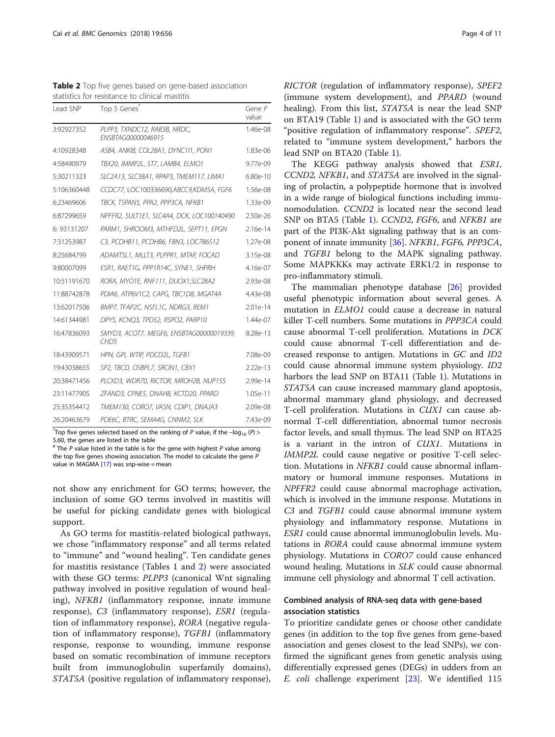<span id="page-3-0"></span>Table 2 Top five genes based on gene-based association statistics for resistance to clinical mastitis

| Lead SNP    | Top 5 Genes                                                  | Gene P<br>value<br>1.46e-08 |  |
|-------------|--------------------------------------------------------------|-----------------------------|--|
| 3:92927352  | PLPP3, TXNDC12, RAB3B, NRDC,<br>ENSBTAG00000046915           |                             |  |
| 4:10928348  | ASB4, ANKIB, COL28A1, DYNC1I1, PON1                          | 1.83e-06                    |  |
| 4:58490979  | TBX20, IMMP2L, ST7, LAMB4, ELMO1                             | 9.77e-09                    |  |
| 5:30211323  | SLC2A13, SLC38A1, RPAP3, TMEM117, LIMA1                      | 6.80e-10                    |  |
| 5:106360448 | CCDC77, LOC100336690, ABCC9, KDM5A, FGF6                     | 1.56e-08                    |  |
| 6:23469606  | TBCK, TSPAN5, PPA2, PPP3CA, NFKB1                            | 1.33e-09                    |  |
| 6:87299659  | NPFFR2, SULT1E1, SLC4A4, DCK, LOC100140490                   | 2.50e-26                    |  |
| 6: 93131207 | PARM1, SHROOM3, MTHFD2L, SEPT11, EPGN                        | 2.16e-14                    |  |
| 7:31253987  | C3, PCDHB11, PCDHB6, FBN3, LOC786512                         | 1.27e-08                    |  |
| 8:25684799  | ADAMTSL1, MLLT3, PLPPR1, MTAP, FOCAD                         | 3.15e-08                    |  |
| 9:80007099  | ESR1, RAET1G, PPP1R14C, SYNE1, SHPRH                         | 4.16e-07                    |  |
| 10:51191670 | RORA, MYO1E, RNF111, DUOX1, SLC28A2                          | 2.93e-08                    |  |
| 11:88742878 | PDIA6, ATP6V1C2, CAPG, TBC1D8, MGAT4A                        | 4.43e-08                    |  |
| 13:62017506 | BMP7, TFAP2C, NSFL1C, NDRG3, REM1                            | 2.01e-14                    |  |
| 14:61344981 | DPYS, KCNQ3, TPD52, RSPO2, PARP10                            | 1.44e-07                    |  |
| 16:47836093 | SMYD3, ACOT7, MEGF6, ENSBTAG00000019339,<br>CHD <sub>5</sub> | 8.28e-13                    |  |
| 18:43909571 | HPN, GPI, WTIP, PDCD2L, TGFB1                                | 7.08e-09                    |  |
| 19:43038655 | SP2, TBCD, OSBPL7, SRCIN1, CBX1                              | 2.22e-13                    |  |
| 20:38471456 | PLCXD3, WDR70, RICTOR, MROH2B, NUP155                        | 2.99e-14                    |  |
| 23:11477905 | ZFAND3, CPNE5, DNAH8, KCTD20, PPARD                          | 1.05e-11                    |  |
| 25:35354412 | TMEM130, CORO7, VASN, CDIP1, DNAJA3                          | 2.09e-08                    |  |
| 26:20463679 | PDE6C, BTRC, SEMA4G, CNNM2, SLK                              | 7.43e-09                    |  |

 $\tilde{f}$  Top five genes selected based on the ranking of P value, if the  $-\log_{10} (P)$  > 5.60, the genes are listed in the table

 $^*$  The P value listed in the table is for the gene with highest P value among the top five genes showing association. The model to calculate the gene P value in MAGMA  $[17]$  $[17]$  was snp-wise = mean

not show any enrichment for GO terms; however, the inclusion of some GO terms involved in mastitis will be useful for picking candidate genes with biological support.

As GO terms for mastitis-related biological pathways, we chose "inflammatory response" and all terms related to "immune" and "wound healing". Ten candidate genes for mastitis resistance (Tables [1](#page-2-0) and 2) were associated with these GO terms: PLPP3 (canonical Wnt signaling pathway involved in positive regulation of wound healing), NFKB1 (inflammatory response, innate immune response), C3 (inflammatory response), ESR1 (regulation of inflammatory response), RORA (negative regulation of inflammatory response), TGFB1 (inflammatory response, response to wounding, immune response based on somatic recombination of immune receptors built from immunoglobulin superfamily domains), STAT5A (positive regulation of inflammatory response), RICTOR (regulation of inflammatory response), SPEF2 (immune system development), and PPARD (wound healing). From this list, STAT5A is near the lead SNP on BTA19 (Table [1](#page-2-0)) and is associated with the GO term "positive regulation of inflammatory response". SPEF2, related to "immune system development," harbors the lead SNP on BTA20 (Table [1](#page-2-0)).

The KEGG pathway analysis showed that ESR1, CCND2, NFKB1, and STAT5A are involved in the signaling of prolactin, a polypeptide hormone that is involved in a wide range of biological functions including immunomodulation. CCND2 is located near the second lead SNP on BTA5 (Table [1](#page-2-0)). CCND2, FGF6, and NFKB1 are part of the PI3K-Akt signaling pathway that is an com-ponent of innate immunity [\[36](#page-10-0)]. NFKB1, FGF6, PPP3CA, and TGFB1 belong to the MAPK signaling pathway. Some MAPKKKs may activate ERK1/2 in response to pro-inflammatory stimuli.

The mammalian phenotype database [\[26](#page-10-0)] provided useful phenotypic information about several genes. A mutation in ELMO1 could cause a decrease in natural killer T-cell numbers. Some mutations in PPP3CA could cause abnormal T-cell proliferation. Mutations in DCK could cause abnormal T-cell differentiation and decreased response to antigen. Mutations in GC and ID2 could cause abnormal immune system physiology. ID2 harbors the lead SNP on BTA11 (Table [1](#page-2-0)). Mutations in STAT5A can cause increased mammary gland apoptosis, abnormal mammary gland physiology, and decreased T-cell proliferation. Mutations in CUX1 can cause abnormal T-cell differentiation, abnormal tumor necrosis factor levels, and small thymus. The lead SNP on BTA25 is a variant in the intron of CUX1. Mutations in IMMP2L could cause negative or positive T-cell selection. Mutations in NFKB1 could cause abnormal inflammatory or humoral immune responses. Mutations in NPFFR2 could cause abnormal macrophage activation, which is involved in the immune response. Mutations in C3 and TGFB1 could cause abnormal immune system physiology and inflammatory response. Mutations in ESR1 could cause abnormal immunoglobulin levels. Mutations in RORA could cause abnormal immune system physiology. Mutations in CORO7 could cause enhanced wound healing. Mutations in SLK could cause abnormal immune cell physiology and abnormal T cell activation.

# Combined analysis of RNA-seq data with gene-based association statistics

To prioritize candidate genes or choose other candidate genes (in addition to the top five genes from gene-based association and genes closest to the lead SNPs), we confirmed the significant genes from genetic analysis using differentially expressed genes (DEGs) in udders from an E. coli challenge experiment [\[23\]](#page-10-0). We identified 115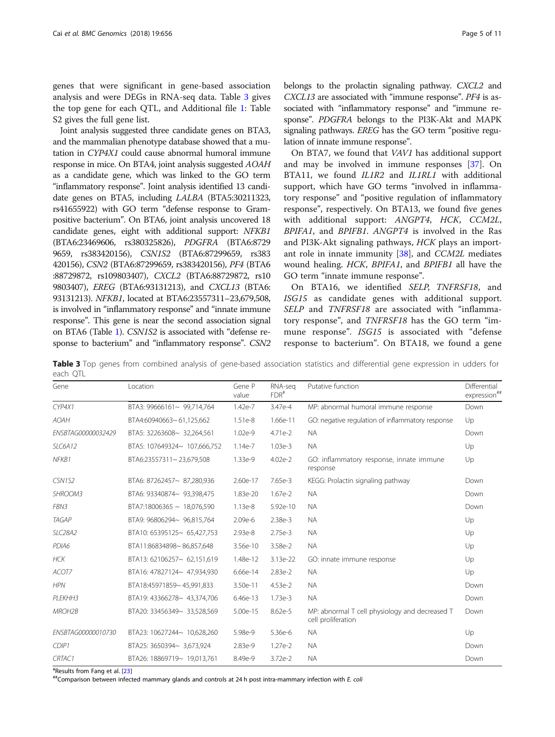genes that were significant in gene-based association analysis and were DEGs in RNA-seq data. Table 3 gives the top gene for each QTL, and Additional file [1:](#page-9-0) Table S2 gives the full gene list.

Joint analysis suggested three candidate genes on BTA3, and the mammalian phenotype database showed that a mutation in CYP4X1 could cause abnormal humoral immune response in mice. On BTA4, joint analysis suggested AOAH as a candidate gene, which was linked to the GO term "inflammatory response". Joint analysis identified 13 candidate genes on BTA5, including LALBA (BTA5:30211323, rs41655922) with GO term "defense response to Grampositive bacterium". On BTA6, joint analysis uncovered 18 candidate genes, eight with additional support: NFKB1 (BTA6:23469606, rs380325826), PDGFRA (BTA6:8729 9659, rs383420156), CSN1S2 (BTA6:87299659, rs383 420156), CSN2 (BTA6:87299659, rs383420156), PF4 (BTA6 :88729872, rs109803407), CXCL2 (BTA6:88729872, rs10 9803407), EREG (BTA6:93131213), and CXCL13 (BTA6: 93131213). NFKB1, located at BTA6:23557311–23,679,508, is involved in "inflammatory response" and "innate immune response". This gene is near the second association signal on BTA6 (Table [1](#page-2-0)). CSN1S2 is associated with "defense response to bacterium" and "inflammatory response". CSN2 belongs to the prolactin signaling pathway. CXCL2 and CXCL13 are associated with "immune response". PF4 is associated with "inflammatory response" and "immune response". PDGFRA belongs to the PI3K-Akt and MAPK signaling pathways. EREG has the GO term "positive regulation of innate immune response".

On BTA7, we found that VAV1 has additional support and may be involved in immune responses [[37\]](#page-10-0). On BTA11, we found IL1R2 and IL1RL1 with additional support, which have GO terms "involved in inflammatory response" and "positive regulation of inflammatory response", respectively. On BTA13, we found five genes with additional support: ANGPT4, HCK, CCM2L, BPIFA1, and BPIFB1. ANGPT4 is involved in the Ras and PI3K-Akt signaling pathways, HCK plays an important role in innate immunity [[38](#page-10-0)], and CCM2L mediates wound healing. HCK, BPIFA1, and BPIFB1 all have the GO term "innate immune response".

On BTA16, we identified SELP, TNFRSF18, and ISG15 as candidate genes with additional support. SELP and TNFRSF18 are associated with "inflammatory response", and TNFRSF18 has the GO term "immune response". ISG15 is associated with "defense response to bacterium". On BTA18, we found a gene

Table 3 Top genes from combined analysis of gene-based association statistics and differential gene expression in udders for each QTL

| Gene                | Location                     | Gene P<br>value | RNA-sea<br>FDR <sup>#</sup> | Putative function                                                    | Differential<br>expression## |
|---------------------|------------------------------|-----------------|-----------------------------|----------------------------------------------------------------------|------------------------------|
| CYP4X1              | BTA3: 99666161~ 99,714,764   | 1.42e-7         | 3.47e-4                     | MP: abnormal humoral immune response                                 | Down                         |
| <b>AOAH</b>         | BTA4:60940663~61,125,662     | 1.51e-8         | 1.66e-11                    | GO: negative regulation of inflammatory response                     | Up                           |
| ENSBTAG00000032429  | BTA5: 32263608~ 32,264,561   | 1.02e-9         | 4.71e-2                     | <b>NA</b>                                                            | Down                         |
| SIC6A12             | BTA5: 107649324~ 107,666,752 | $1.14e-7$       | $1.03e-3$                   | <b>NA</b>                                                            | Up                           |
| NFKB1               | BTA6:23557311~23,679,508     | 1.33e-9         | $4.02e-2$                   | GO: inflammatory response, innate immune<br>response                 | Up                           |
| CSN1S2              | BTA6: 87262457~ 87,280,936   | 2.60e-17        | 7.65e-3                     | KEGG: Prolactin signaling pathway                                    | Down                         |
| SHROOM3             | BTA6: 93340874~ 93,398,475   | 1.83e-20        | $1.67e-2$                   | <b>NA</b>                                                            | Down                         |
| FBN3                | BTA7:18006365 ~ 18.076.590   | $1.13e-8$       | 5.92e-10                    | <b>NA</b>                                                            | Down                         |
| <b>TAGAP</b>        | BTA9: 96806294~ 96,815,764   | 2.09e-6         | 2.38e-3                     | <b>NA</b>                                                            | Up                           |
| SLC28A2             | BTA10: 65395125~ 65,427,753  | 2.93e-8         | 2.75e-3                     | <b>NA</b>                                                            | Up                           |
| PDIA6               | BTA11:86834898~86,857,648    | 3.56e-10        | 3.58e-2                     | <b>NA</b>                                                            | Up                           |
| <b>HCK</b>          | BTA13: 62106257~ 62,151,619  | 1.48e-12        | 3.13e-22                    | GO: innate immune response                                           | Up                           |
| ACOT7               | BTA16: 47827124~ 47,934,930  | 6.66e-14        | 2.83e-2                     | <b>NA</b>                                                            | Up                           |
| <b>HPN</b>          | BTA18:45971859~45,991,833    | 3.50e-11        | 4.53e-2                     | <b>NA</b>                                                            | Down                         |
| PLEKHH3             | BTA19: 43366278~ 43,374,706  | 6.46e-13        | $1.73e-3$                   | <b>NA</b>                                                            | Down                         |
| MROH <sub>2</sub> B | BTA20: 33456349~ 33.528.569  | 5.00e-15        | 8.62e-5                     | MP: abnormal T cell physiology and decreased T<br>cell proliferation | Down                         |
| ENSBTAG00000010730  | BTA23: 10627244~ 10,628,260  | 5.98e-9         | 5.36e-6                     | <b>NA</b>                                                            | Up                           |
| CDIP1               | BTA25: 3650394~ 3,673,924    | 2.83e-9         | $1.27e-2$                   | <b>NA</b>                                                            | Down                         |
| CRTAC1              | BTA26: 18869719~ 19.013.761  | 8.49e-9         | 3.72e-2                     | <b>NA</b>                                                            | Down                         |

<sup>#</sup>Results from Fang et al. [23]

 $*$ Comparison between infected mammary glands and controls at 24 h post intra-mammary infection with E. coli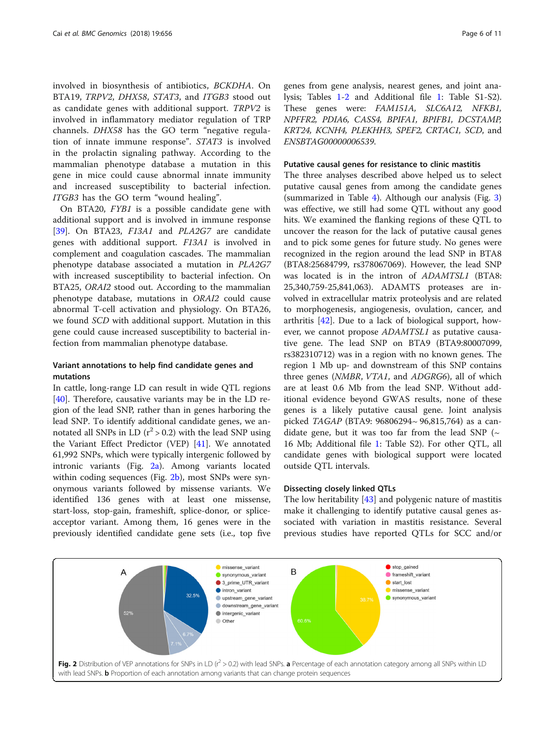involved in biosynthesis of antibiotics, BCKDHA. On BTA19, TRPV2, DHX58, STAT3, and ITGB3 stood out as candidate genes with additional support. TRPV2 is involved in inflammatory mediator regulation of TRP channels. DHX58 has the GO term "negative regulation of innate immune response". STAT3 is involved in the prolactin signaling pathway. According to the mammalian phenotype database a mutation in this gene in mice could cause abnormal innate immunity and increased susceptibility to bacterial infection. ITGB3 has the GO term "wound healing".

On BTA20, FYB1 is a possible candidate gene with additional support and is involved in immune response [[39\]](#page-10-0). On BTA23, F13A1 and PLA2G7 are candidate genes with additional support. F13A1 is involved in complement and coagulation cascades. The mammalian phenotype database associated a mutation in PLA2G7 with increased susceptibility to bacterial infection. On BTA25, ORAI2 stood out. According to the mammalian phenotype database, mutations in ORAI2 could cause abnormal T-cell activation and physiology. On BTA26, we found SCD with additional support. Mutation in this gene could cause increased susceptibility to bacterial infection from mammalian phenotype database.

# Variant annotations to help find candidate genes and mutations

In cattle, long-range LD can result in wide QTL regions [[40\]](#page-10-0). Therefore, causative variants may be in the LD region of the lead SNP, rather than in genes harboring the lead SNP. To identify additional candidate genes, we annotated all SNPs in LD ( $r^2 > 0.2$ ) with the lead SNP using the Variant Effect Predictor (VEP) [[41\]](#page-10-0). We annotated 61,992 SNPs, which were typically intergenic followed by intronic variants (Fig. 2a). Among variants located within coding sequences (Fig. 2b), most SNPs were synonymous variants followed by missense variants. We identified 136 genes with at least one missense, start-loss, stop-gain, frameshift, splice-donor, or spliceacceptor variant. Among them, 16 genes were in the previously identified candidate gene sets (i.e., top five

genes from gene analysis, nearest genes, and joint analysis; Tables [1](#page-2-0)[-2](#page-3-0) and Additional file [1:](#page-9-0) Table S1‑S2). These genes were: *FAM151A*, *SLC6A12*, *NFKB1*, NPFFR2, PDIA6, CASS4, BPIFA1, BPIFB1, DCSTAMP, KRT24, KCNH4, PLEKHH3, SPEF2, CRTAC1, SCD, and ENSBTAG00000006539.

## Putative causal genes for resistance to clinic mastitis

The three analyses described above helped us to select putative causal genes from among the candidate genes (summarized in Table [4](#page-6-0)). Although our analysis (Fig. [3](#page-6-0)) was effective, we still had some QTL without any good hits. We examined the flanking regions of these QTL to uncover the reason for the lack of putative causal genes and to pick some genes for future study. No genes were recognized in the region around the lead SNP in BTA8 (BTA8:25684799, rs378067069). However, the lead SNP was located is in the intron of ADAMTSL1 (BTA8: 25,340,759-25,841,063). ADAMTS proteases are involved in extracellular matrix proteolysis and are related to morphogenesis, angiogenesis, ovulation, cancer, and arthritis [\[42](#page-10-0)]. Due to a lack of biological support, however, we cannot propose *ADAMTSL1* as putative causative gene. The lead SNP on BTA9 (BTA9:80007099, rs382310712) was in a region with no known genes. The region 1 Mb up- and downstream of this SNP contains three genes (NMBR, VTA1, and ADGRG6), all of which are at least 0.6 Mb from the lead SNP. Without additional evidence beyond GWAS results, none of these genes is a likely putative causal gene. Joint analysis picked TAGAP (BTA9: 96806294~ 96,815,764) as a candidate gene, but it was too far from the lead SNP ( $\sim$ 16 Mb; Additional file [1:](#page-9-0) Table S2). For other QTL, all candidate genes with biological support were located outside QTL intervals.

# Dissecting closely linked QTLs

The low heritability [\[43\]](#page-10-0) and polygenic nature of mastitis make it challenging to identify putative causal genes associated with variation in mastitis resistance. Several previous studies have reported QTLs for SCC and/or

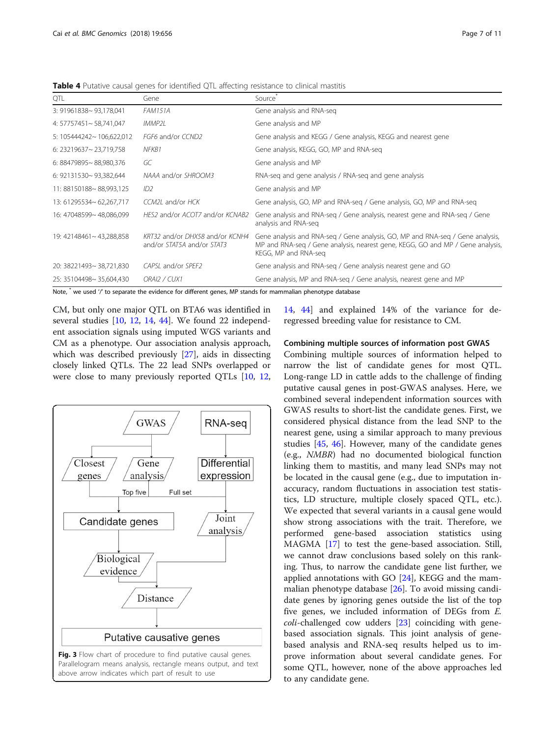<span id="page-6-0"></span>Table 4 Putative causal genes for identified QTL affecting resistance to clinical mastitis

| QTL                       | Gene                                                          | Source <sup>®</sup>                                                                                                                                                                      |
|---------------------------|---------------------------------------------------------------|------------------------------------------------------------------------------------------------------------------------------------------------------------------------------------------|
| 3: 91961838~93,178,041    | <b>FAM151A</b>                                                | Gene analysis and RNA-seq                                                                                                                                                                |
| 4: 57757451~58,741,047    | IMMP2L                                                        | Gene analysis and MP                                                                                                                                                                     |
| 5: 105444242~ 106,622,012 | FGF6 and/or CCND2                                             | Gene analysis and KEGG / Gene analysis, KEGG and nearest gene                                                                                                                            |
| 6: 23219637~23,719,758    | NFKB1                                                         | Gene analysis, KEGG, GO, MP and RNA-seg                                                                                                                                                  |
| 6: 88479895~88,980,376    | GC                                                            | Gene analysis and MP                                                                                                                                                                     |
| 6: 92131530~93,382,644    | NAAA and/or SHROOM3                                           | RNA-seg and gene analysis / RNA-seg and gene analysis                                                                                                                                    |
| 11: 88150188~88,993,125   | ID2                                                           | Gene analysis and MP                                                                                                                                                                     |
| 13: 61295534~ 62,267,717  | CCM2L and/or HCK                                              | Gene analysis, GO, MP and RNA-seg / Gene analysis, GO, MP and RNA-seg                                                                                                                    |
| 16: 47048599~ 48,086,099  | HES2 and/or ACOT7 and/or KCNAB2                               | Gene analysis and RNA-seg / Gene analysis, nearest gene and RNA-seg / Gene<br>analysis and RNA-seg                                                                                       |
| 19: 42148461~43,288,858   | KRT32 and/or DHX58 and/or KCNH4<br>and/or STAT5A and/or STAT3 | Gene analysis and RNA-seg / Gene analysis, GO, MP and RNA-seg / Gene analysis,<br>MP and RNA-seg / Gene analysis, nearest gene, KEGG, GO and MP / Gene analysis,<br>KEGG, MP and RNA-seg |
| 20: 38221493~ 38,721,830  | CAPSL and/or SPEF2                                            | Gene analysis and RNA-seg / Gene analysis nearest gene and GO                                                                                                                            |
| 25: 35104498~ 35,604,430  | ORAI2 / CUX1                                                  | Gene analysis, MP and RNA-seg / Gene analysis, nearest gene and MP                                                                                                                       |

Note, \* we used '/' to separate the evidence for different genes, MP stands for mammalian phenotype database

CM, but only one major QTL on BTA6 was identified in several studies [\[10](#page-9-0), [12](#page-9-0), [14,](#page-9-0) [44\]](#page-10-0). We found 22 independent association signals using imputed WGS variants and CM as a phenotype. Our association analysis approach, which was described previously [[27\]](#page-10-0), aids in dissecting closely linked QTLs. The 22 lead SNPs overlapped or were close to many previously reported QTLs [\[10,](#page-9-0) [12](#page-9-0),



[14,](#page-9-0) [44](#page-10-0)] and explained 14% of the variance for deregressed breeding value for resistance to CM.

#### Combining multiple sources of information post GWAS

Combining multiple sources of information helped to narrow the list of candidate genes for most QTL. Long-range LD in cattle adds to the challenge of finding putative causal genes in post-GWAS analyses. Here, we combined several independent information sources with GWAS results to short-list the candidate genes. First, we considered physical distance from the lead SNP to the nearest gene, using a similar approach to many previous studies [\[45,](#page-10-0) [46\]](#page-10-0). However, many of the candidate genes (e.g., NMBR) had no documented biological function linking them to mastitis, and many lead SNPs may not be located in the causal gene (e.g., due to imputation inaccuracy, random fluctuations in association test statistics, LD structure, multiple closely spaced QTL, etc.). We expected that several variants in a causal gene would show strong associations with the trait. Therefore, we performed gene-based association statistics using MAGMA [\[17](#page-9-0)] to test the gene-based association. Still, we cannot draw conclusions based solely on this ranking. Thus, to narrow the candidate gene list further, we applied annotations with GO  $[24]$  $[24]$ , KEGG and the mammalian phenotype database [[26\]](#page-10-0). To avoid missing candidate genes by ignoring genes outside the list of the top five genes, we included information of DEGs from E. coli-challenged cow udders [[23\]](#page-10-0) coinciding with genebased association signals. This joint analysis of genebased analysis and RNA-seq results helped us to improve information about several candidate genes. For some QTL, however, none of the above approaches led to any candidate gene.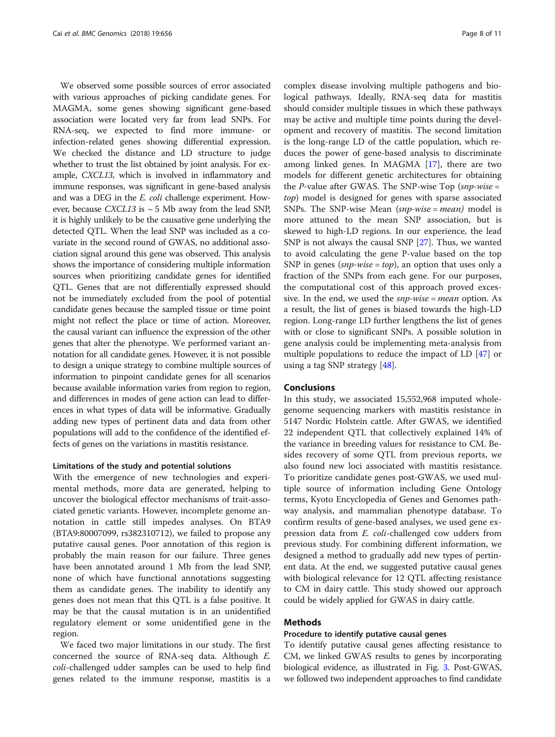We observed some possible sources of error associated with various approaches of picking candidate genes. For MAGMA, some genes showing significant gene-based association were located very far from lead SNPs. For RNA-seq, we expected to find more immune- or infection-related genes showing differential expression. We checked the distance and LD structure to judge whether to trust the list obtained by joint analysis. For example, CXCL13, which is involved in inflammatory and immune responses, was significant in gene-based analysis and was a DEG in the E. coli challenge experiment. However, because *CXCL13* is  $\sim$  5 Mb away from the lead SNP, it is highly unlikely to be the causative gene underlying the detected QTL. When the lead SNP was included as a covariate in the second round of GWAS, no additional association signal around this gene was observed. This analysis shows the importance of considering multiple information sources when prioritizing candidate genes for identified QTL. Genes that are not differentially expressed should not be immediately excluded from the pool of potential candidate genes because the sampled tissue or time point might not reflect the place or time of action. Moreover, the causal variant can influence the expression of the other genes that alter the phenotype. We performed variant annotation for all candidate genes. However, it is not possible to design a unique strategy to combine multiple sources of information to pinpoint candidate genes for all scenarios because available information varies from region to region, and differences in modes of gene action can lead to differences in what types of data will be informative. Gradually adding new types of pertinent data and data from other populations will add to the confidence of the identified effects of genes on the variations in mastitis resistance.

#### Limitations of the study and potential solutions

With the emergence of new technologies and experimental methods, more data are generated, helping to uncover the biological effector mechanisms of trait-associated genetic variants. However, incomplete genome annotation in cattle still impedes analyses. On BTA9 (BTA9:80007099, rs382310712), we failed to propose any putative causal genes. Poor annotation of this region is probably the main reason for our failure. Three genes have been annotated around 1 Mb from the lead SNP, none of which have functional annotations suggesting them as candidate genes. The inability to identify any genes does not mean that this QTL is a false positive. It may be that the causal mutation is in an unidentified regulatory element or some unidentified gene in the region.

We faced two major limitations in our study. The first concerned the source of RNA-seq data. Although E. coli-challenged udder samples can be used to help find genes related to the immune response, mastitis is a complex disease involving multiple pathogens and biological pathways. Ideally, RNA-seq data for mastitis should consider multiple tissues in which these pathways may be active and multiple time points during the development and recovery of mastitis. The second limitation is the long-range LD of the cattle population, which reduces the power of gene-based analysis to discriminate among linked genes. In MAGMA [[17](#page-9-0)], there are two models for different genetic architectures for obtaining the *P*-value after GWAS. The SNP-wise Top (snp-wise  $=$ top) model is designed for genes with sparse associated SNPs. The SNP-wise Mean  $(snp\text{-}wise = mean)$  model is more attuned to the mean SNP association, but is skewed to high-LD regions. In our experience, the lead SNP is not always the causal SNP [\[27\]](#page-10-0). Thus, we wanted to avoid calculating the gene P-value based on the top SNP in genes (snp-wise = top), an option that uses only a fraction of the SNPs from each gene. For our purposes, the computational cost of this approach proved excessive. In the end, we used the *snp-wise* = *mean* option. As a result, the list of genes is biased towards the high-LD region. Long-range LD further lengthens the list of genes with or close to significant SNPs. A possible solution in gene analysis could be implementing meta-analysis from multiple populations to reduce the impact of LD [\[47](#page-10-0)] or using a tag SNP strategy [[48](#page-10-0)].

#### Conclusions

In this study, we associated 15,552,968 imputed wholegenome sequencing markers with mastitis resistance in 5147 Nordic Holstein cattle. After GWAS, we identified 22 independent QTL that collectively explained 14% of the variance in breeding values for resistance to CM. Besides recovery of some QTL from previous reports, we also found new loci associated with mastitis resistance. To prioritize candidate genes post-GWAS, we used multiple source of information including Gene Ontology terms, Kyoto Encyclopedia of Genes and Genomes pathway analysis, and mammalian phenotype database. To confirm results of gene-based analyses, we used gene expression data from E. coli-challenged cow udders from previous study. For combining different information, we designed a method to gradually add new types of pertinent data. At the end, we suggested putative causal genes with biological relevance for 12 QTL affecting resistance to CM in dairy cattle. This study showed our approach could be widely applied for GWAS in dairy cattle.

#### Methods

# Procedure to identify putative causal genes

To identify putative causal genes affecting resistance to CM, we linked GWAS results to genes by incorporating biological evidence, as illustrated in Fig. [3.](#page-6-0) Post-GWAS, we followed two independent approaches to find candidate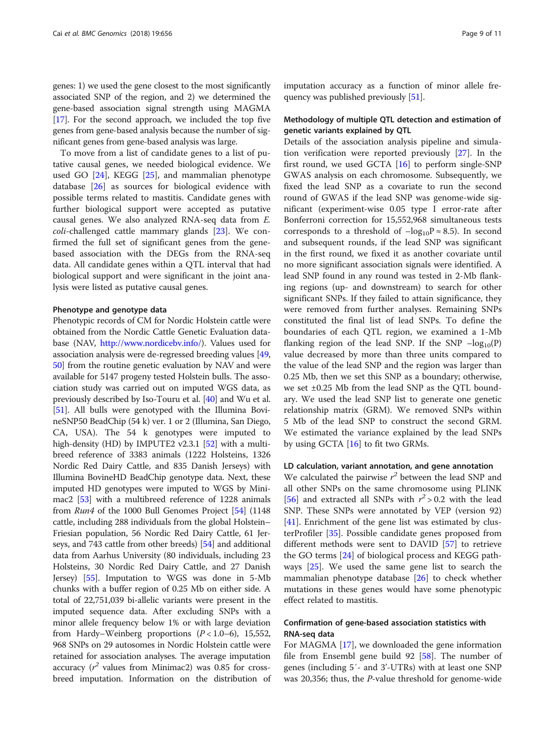genes: 1) we used the gene closest to the most significantly associated SNP of the region, and 2) we determined the gene-based association signal strength using MAGMA [[17](#page-9-0)]. For the second approach, we included the top five genes from gene-based analysis because the number of significant genes from gene-based analysis was large.

To move from a list of candidate genes to a list of putative causal genes, we needed biological evidence. We used GO [\[24](#page-10-0)], KEGG [\[25](#page-10-0)], and mammalian phenotype database [[26](#page-10-0)] as sources for biological evidence with possible terms related to mastitis. Candidate genes with further biological support were accepted as putative causal genes. We also analyzed RNA-seq data from E. coli-challenged cattle mammary glands [[23\]](#page-10-0). We confirmed the full set of significant genes from the genebased association with the DEGs from the RNA-seq data. All candidate genes within a QTL interval that had biological support and were significant in the joint analysis were listed as putative causal genes.

#### Phenotype and genotype data

Phenotypic records of CM for Nordic Holstein cattle were obtained from the Nordic Cattle Genetic Evaluation database (NAV, <http://www.nordicebv.info/>). Values used for association analysis were de-regressed breeding values [[49](#page-10-0), [50](#page-10-0)] from the routine genetic evaluation by NAV and were available for 5147 progeny tested Holstein bulls. The association study was carried out on imputed WGS data, as previously described by Iso-Touru et al. [[40](#page-10-0)] and Wu et al. [[51](#page-10-0)]. All bulls were genotyped with the Illumina BovineSNP50 BeadChip (54 k) ver. 1 or 2 (Illumina, San Diego, CA, USA). The 54 k genotypes were imputed to high-density (HD) by IMPUTE2 v2.3.1 [[52](#page-10-0)] with a multibreed reference of 3383 animals (1222 Holsteins, 1326 Nordic Red Dairy Cattle, and 835 Danish Jerseys) with Illumina BovineHD BeadChip genotype data. Next, these imputed HD genotypes were imputed to WGS by Minimac2 [[53](#page-10-0)] with a multibreed reference of 1228 animals from Run4 of the 1000 Bull Genomes Project [[54](#page-10-0)] (1148 cattle, including 288 individuals from the global Holstein– Friesian population, 56 Nordic Red Dairy Cattle, 61 Jerseys, and 743 cattle from other breeds) [[54](#page-10-0)] and additional data from Aarhus University (80 individuals, including 23 Holsteins, 30 Nordic Red Dairy Cattle, and 27 Danish Jersey) [\[55\]](#page-10-0). Imputation to WGS was done in 5-Mb chunks with a buffer region of 0.25 Mb on either side. A total of 22,751,039 bi-allelic variants were present in the imputed sequence data. After excluding SNPs with a minor allele frequency below 1% or with large deviation from Hardy–Weinberg proportions  $(P < 1.0-6)$ , 15,552, 968 SNPs on 29 autosomes in Nordic Holstein cattle were retained for association analyses. The average imputation accuracy ( $r^2$  values from Minimac2) was 0.85 for crossbreed imputation. Information on the distribution of imputation accuracy as a function of minor allele frequency was published previously [\[51\]](#page-10-0).

# Methodology of multiple QTL detection and estimation of genetic variants explained by QTL

Details of the association analysis pipeline and simulation verification were reported previously [\[27](#page-10-0)]. In the first round, we used GCTA  $[16]$  $[16]$  $[16]$  to perform single-SNP GWAS analysis on each chromosome. Subsequently, we fixed the lead SNP as a covariate to run the second round of GWAS if the lead SNP was genome-wide significant (experiment-wise 0.05 type I error-rate after Bonferroni correction for 15,552,968 simultaneous tests corresponds to a threshold of  $-\log_{10}P \approx 8.5$ ). In second and subsequent rounds, if the lead SNP was significant in the first round, we fixed it as another covariate until no more significant association signals were identified. A lead SNP found in any round was tested in 2-Mb flanking regions (up- and downstream) to search for other significant SNPs. If they failed to attain significance, they were removed from further analyses. Remaining SNPs constituted the final list of lead SNPs. To define the boundaries of each QTL region, we examined a 1-Mb flanking region of the lead SNP. If the SNP  $-\log_{10}(P)$ value decreased by more than three units compared to the value of the lead SNP and the region was larger than 0.25 Mb, then we set this SNP as a boundary; otherwise, we set ±0.25 Mb from the lead SNP as the QTL boundary. We used the lead SNP list to generate one genetic relationship matrix (GRM). We removed SNPs within 5 Mb of the lead SNP to construct the second GRM. We estimated the variance explained by the lead SNPs by using GCTA [\[16](#page-9-0)] to fit two GRMs.

#### LD calculation, variant annotation, and gene annotation

We calculated the pairwise  $r^2$  between the lead SNP and all other SNPs on the same chromosome using PLINK [[56\]](#page-10-0) and extracted all SNPs with  $r^2 > 0.2$  with the lead SNP. These SNPs were annotated by VEP (version 92) [[41\]](#page-10-0). Enrichment of the gene list was estimated by clusterProfiler [\[35\]](#page-10-0). Possible candidate genes proposed from different methods were sent to DAVID [[57\]](#page-10-0) to retrieve the GO terms [\[24](#page-10-0)] of biological process and KEGG pathways [\[25](#page-10-0)]. We used the same gene list to search the mammalian phenotype database [\[26](#page-10-0)] to check whether mutations in these genes would have some phenotypic effect related to mastitis.

# Confirmation of gene-based association statistics with RNA-seq data

For MAGMA [[17](#page-9-0)], we downloaded the gene information file from Ensembl gene build 92 [[58\]](#page-10-0). The number of genes (including 5′- and 3'-UTRs) with at least one SNP was 20,356; thus, the P-value threshold for genome-wide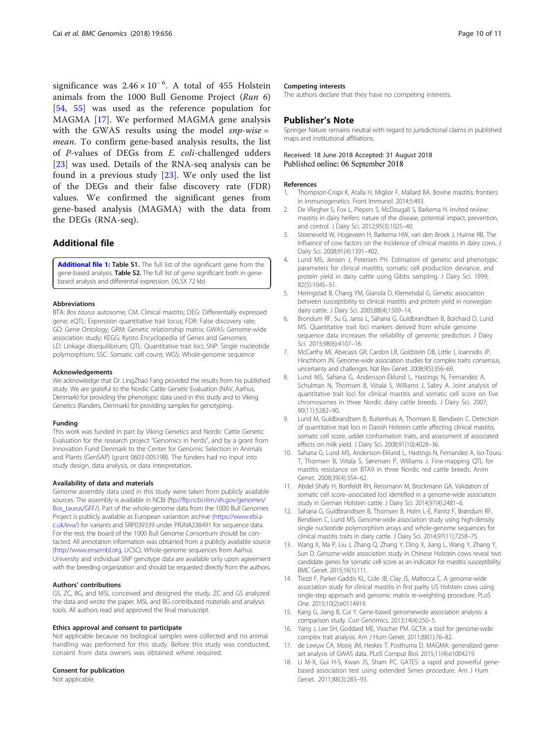<span id="page-9-0"></span>significance was  $2.46 \times 10^{-6}$ . A total of 455 Holstein animals from the 1000 Bull Genome Project (Run 6) [[54,](#page-10-0) [55\]](#page-10-0) was used as the reference population for MAGMA [17]. We performed MAGMA gene analysis with the GWAS results using the model  $sup-wise =$ mean. To confirm gene-based analysis results, the list of P-values of DEGs from E. coli-challenged udders [[23\]](#page-10-0) was used. Details of the RNA-seq analysis can be found in a previous study [\[23](#page-10-0)]. We only used the list of the DEGs and their false discovery rate (FDR) values. We confirmed the significant genes from gene-based analysis (MAGMA) with the data from the DEGs (RNA-seq).

# Additional file

[Additional file 1:](https://doi.org/10.1186/s12864-018-5050-x) Table S1. The full list of the significant gene from the gene-based analysis. Table S2. The full list of gene significant both in genebased analysis and differential expression. (XLSX 72 kb)

#### Abbreviations

BTA: Bos taurus autosome; CM: Clinical mastitis; DEG: Differentially expressed gene; eQTL: Expression quantitative trait locus; FDR: False discovery rate; GO: Gene Ontology; GRM: Genetic relationship matrix; GWAS: Genome-wide association study; KEGG: Kyoto Encyclopedia of Genes and Genomes; LD: Linkage disequilibrium; QTL: Quantitative trait loci; SNP: Single nucleotide polymorphism; SSC: Somatic cell count; WGS: Whole-genome sequence

#### Acknowledgements

We acknowledge that Dr. LingZhao Fang provided the results from his published study. We are grateful to the Nordic Cattle Genetic Evaluation (NAV, Aarhus, Denmark) for providing the phenotypic data used in this study and to Viking Genetics (Randers, Denmark) for providing samples for genotyping.

#### Funding

This work was funded in part by Viking Genetics and Nordic Cattle Genetic Evaluation for the research project "Genomics in herds", and by a grant from Innovation Fund Denmark to the Center for Genomic Selection in Animals and Plants (GenSAP) (grant 0603-00519B). The funders had no input into study design, data analysis, or data interpretation.

#### Availability of data and materials

Genome assembly data used in this study were taken from publicly available sources. The assembly is available in NCBI ([ftp://ftp.ncbi.nlm.nih.gov/genomes/](ftp://ftp.ncbi.nlm.nih.gov/genomes/Bos_taurus/GFF) [Bos\\_taurus/GFF/\)](ftp://ftp.ncbi.nlm.nih.gov/genomes/Bos_taurus/GFF). Part of the whole-genome data from the 1000 Bull Genomes Project is publicly available as European variantion archive ([https://www.ebi.a](https://www.ebi.ac.uk/eva/)[c.uk/eva/\)](https://www.ebi.ac.uk/eva/) for variants and SRP039339 under PRJNA238491 for sequence data. For the rest, the board of the 1000 Bull Genome Consortium should be contacted. All annotation information was obtained from a publicly available source (<http://www.ensembl.org>, UCSC). Whole-genome sequences from Aarhus University and individual SNP genotype data are available only upon agreement with the breeding organization and should be requested directly from the authors.

#### Authors' contributions

GS, ZC, BG, and MSL conceived and designed the study. ZC and GS analyzed the data and wrote the paper. MSL and BG contributed materials and analysis tools. All authors read and approved the final manuscript.

#### Ethics approval and consent to participate

Not applicable because no biological samples were collected and no animal handling was performed for this study. Before this study was conducted, consent from data owners was obtained where required.

#### Consent for publication

Not applicable.

#### Competing interests

The authors declare that they have no competing interests.

# Publisher's Note

Springer Nature remains neutral with regard to jurisdictional claims in published maps and institutional affiliations.

#### Received: 18 June 2018 Accepted: 31 August 2018 Published online: 06 September 2018

#### References

- 1. Thompson-Crispi K, Atalla H, Miglior F, Mallard BA. Bovine mastitis: frontiers in immunogenetics. Front Immunol. 2014;5:493.
- 2. De Vliegher S, Fox L, Piepers S, McDougall S, Barkema H. Invited review: mastitis in dairy heifers: nature of the disease, potential impact, prevention, and control. J Dairy Sci. 2012;95(3):1025–40.
- 3. Steeneveld W, Hogeveen H, Barkema HW, van den Broek J, Huirne RB. The influence of cow factors on the incidence of clinical mastitis in dairy cows. J Dairy Sci. 2008;91(4):1391–402.
- Lund MS, Jensen J, Petersen PH. Estimation of genetic and phenotypic parameters for clinical mastitis, somatic cell production deviance, and protein yield in dairy cattle using Gibbs sampling. J Dairy Sci. 1999; 82(5):1045–51.
- 5. Heringstad B, Chang YM, Gianola D, Klemetsdal G. Genetic association between susceptibility to clinical mastitis and protein yield in norwegian dairy cattle. J Dairy Sci. 2005;88(4):1509–14.
- 6. Brondum RF, Su G, Janss L, Sahana G, Guldbrandtsen B, Boichard D, Lund MS. Quantitative trait loci markers derived from whole genome sequence data increases the reliability of genomic prediction. J Dairy Sci. 2015;98(6):4107–16.
- 7. McCarthy MI, Abecasis GR, Cardon LR, Goldstein DB, Little J, Ioannidis JP, Hirschhorn JN. Genome-wide association studies for complex traits: consensus, uncertainty and challenges. Nat Rev Genet. 2008;9(5):356–69.
- 8. Lund MS, Sahana G, Andersson-Eklund L, Hastings N, Fernandez A, Schulman N, Thomsen B, Viitala S, Williams J, Sabry A. Joint analysis of quantitative trait loci for clinical mastitis and somatic cell score on five chromosomes in three Nordic dairy cattle breeds. J Dairy Sci. 2007; 90(11):5282–90.
- 9. Lund M, Guldbrandtsen B, Buitenhuis A, Thomsen B, Bendixen C. Detection of quantitative trait loci in Danish Holstein cattle affecting clinical mastitis, somatic cell score, udder conformation traits, and assessment of associated effects on milk yield. J Dairy Sci. 2008;91(10):4028–36.
- 10. Sahana G, Lund MS, Andersson-Eklund L, Hastings N, Fernandez A, Iso-Touru T, Thomsen B, Viitala S, Sørensen P, Williams J. Fine-mapping QTL for mastitis resistance on BTA9 in three Nordic red cattle breeds. Anim Genet. 2008;39(4):354–62.
- 11. Abdel-Shafy H, Bortfeldt RH, Reissmann M, Brockmann GA. Validation of somatic cell score–associated loci identified in a genome-wide association study in German Holstein cattle. J Dairy Sci. 2014;97(4):2481–6.
- 12. Sahana G, Guldbrandtsen B, Thomsen B, Holm L-E, Panitz F, Brøndum RF, Bendixen C, Lund MS. Genome-wide association study using high-density single nucleotide polymorphism arrays and whole-genome sequences for clinical mastitis traits in dairy cattle. J Dairy Sci. 2014;97(11):7258–75.
- 13. Wang X, Ma P, Liu J, Zhang Q, Zhang Y, Ding X, Jiang L, Wang Y, Zhang Y, Sun D. Genome-wide association study in Chinese Holstein cows reveal two candidate genes for somatic cell score as an indicator for mastitis susceptibility. BMC Genet. 2015;16(1):111.
- 14. Tiezzi F, Parker-Gaddis KL, Cole JB, Clay JS, Maltecca C. A genome-wide association study for clinical mastitis in first parity US Holstein cows using single-step approach and genomic matrix re-weighting procedure. PLoS One. 2015;10(2):e0114919.
- 15. Kang G, Jiang B, Cui Y. Gene-based genomewide association analysis: a comparison study. Curr Genomics. 2013;14(4):250–5.
- 16. Yang J, Lee SH, Goddard ME, Visscher PM. GCTA: a tool for genome-wide complex trait analysis. Am J Hum Genet. 2011;88(1):76–82.
- 17. de Leeuw CA, Mooij JM, Heskes T, Posthuma D. MAGMA: generalized geneset analysis of GWAS data. PLoS Comput Biol. 2015;11(4):e1004219.
- 18. Li M-X, Gui H-S, Kwan JS, Sham PC. GATES: a rapid and powerful genebased association test using extended Simes procedure. Am J Hum Genet. 2011;88(3):283–93.